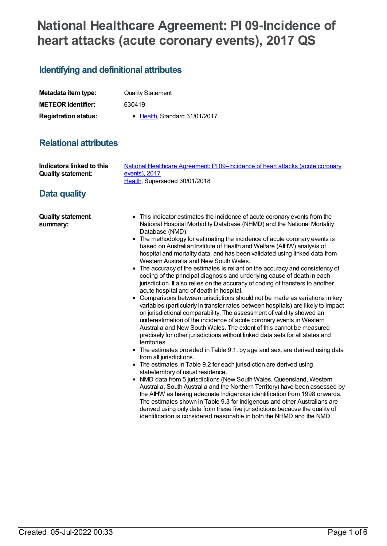# **National Healthcare Agreement: PI 09-Incidence of heart attacks (acute coronary events), 2017 QS**

# **Identifying and definitional attributes**

| Metadata item type:         | <b>Quality Statement</b>              |
|-----------------------------|---------------------------------------|
| <b>METEOR identifier:</b>   | 630419                                |
| <b>Registration status:</b> | $\bullet$ Health. Standard 31/01/2017 |

# **Relational attributes**

| Indicators linked to this            | National Healthcare Agreement: PI09-Incidence of heart attacks (acute coronary                                                                                                                                                                                                                                                                                                                                                                                                                                                                                                                                                                                                                                                                                                                                                                                                                                                                                                                                                                                                                                                                                                                                                                                                                                                                                                                                                                                                                                                                                                                                                                                                                                                                                                                                                                                                                                                                        |
|--------------------------------------|-------------------------------------------------------------------------------------------------------------------------------------------------------------------------------------------------------------------------------------------------------------------------------------------------------------------------------------------------------------------------------------------------------------------------------------------------------------------------------------------------------------------------------------------------------------------------------------------------------------------------------------------------------------------------------------------------------------------------------------------------------------------------------------------------------------------------------------------------------------------------------------------------------------------------------------------------------------------------------------------------------------------------------------------------------------------------------------------------------------------------------------------------------------------------------------------------------------------------------------------------------------------------------------------------------------------------------------------------------------------------------------------------------------------------------------------------------------------------------------------------------------------------------------------------------------------------------------------------------------------------------------------------------------------------------------------------------------------------------------------------------------------------------------------------------------------------------------------------------------------------------------------------------------------------------------------------------|
| <b>Quality statement:</b>            | events), 2017                                                                                                                                                                                                                                                                                                                                                                                                                                                                                                                                                                                                                                                                                                                                                                                                                                                                                                                                                                                                                                                                                                                                                                                                                                                                                                                                                                                                                                                                                                                                                                                                                                                                                                                                                                                                                                                                                                                                         |
| Data quality                         | Health, Superseded 30/01/2018                                                                                                                                                                                                                                                                                                                                                                                                                                                                                                                                                                                                                                                                                                                                                                                                                                                                                                                                                                                                                                                                                                                                                                                                                                                                                                                                                                                                                                                                                                                                                                                                                                                                                                                                                                                                                                                                                                                         |
| <b>Quality statement</b><br>summary: | • This indicator estimates the incidence of acute coronary events from the<br>National Hospital Morbidity Database (NHMD) and the National Mortality<br>Database (NMD).<br>• The methodology for estimating the incidence of acute coronary events is<br>based on Australian Institute of Health and Welfare (AIHW) analysis of<br>hospital and mortality data, and has been validated using linked data from<br>Western Australia and New South Wales.<br>• The accuracy of the estimates is reliant on the accuracy and consistency of<br>coding of the principal diagnosis and underlying cause of death in each<br>jurisdiction. It also relies on the accuracy of coding of transfers to another<br>acute hospital and of death in hospital.<br>• Comparisons between jurisdictions should not be made as variations in key<br>variables (particularly in transfer rates between hospitals) are likely to impact<br>on jurisdictional comparability. The assessment of validity showed an<br>underestimation of the incidence of acute coronary events in Western<br>Australia and New South Wales. The extent of this cannot be measured<br>precisely for other jurisdictions without linked data sets for all states and<br>territories.<br>• The estimates provided in Table 9.1, by age and sex, are derived using data<br>from all jurisdictions.<br>• The estimates in Table 9.2 for each jurisdiction are derived using<br>state/territory of usual residence.<br>• NMD data from 5 jurisdictions (New South Wales, Queensland, Western<br>Australia, South Australia and the Northern Territory) have been assessed by<br>the AIHW as having adequate Indigenous identification from 1998 onwards.<br>The estimates shown in Table 9.3 for Indigenous and other Australians are<br>derived using only data from these five jurisdictions because the quality of<br>identification is considered reasonable in both the NHMD and the NMD. |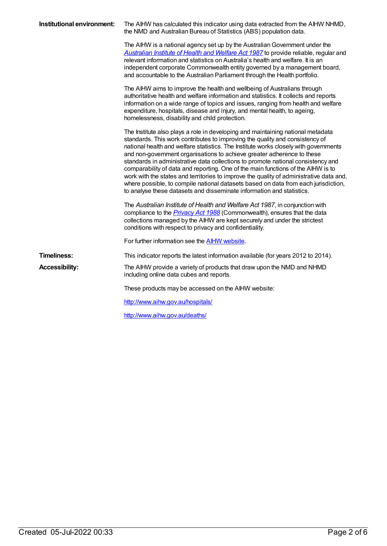| Institutional environment: | The AIHW has calculated this indicator using data extracted from the AIHW NHMD,<br>the NMD and Australian Bureau of Statistics (ABS) population data.                                                                                                                                                                                                                                                                                                                                                                                                                                                                                                                                                                                                               |
|----------------------------|---------------------------------------------------------------------------------------------------------------------------------------------------------------------------------------------------------------------------------------------------------------------------------------------------------------------------------------------------------------------------------------------------------------------------------------------------------------------------------------------------------------------------------------------------------------------------------------------------------------------------------------------------------------------------------------------------------------------------------------------------------------------|
|                            | The AIHW is a national agency set up by the Australian Government under the<br>Australian Institute of Health and Welfare Act 1987 to provide reliable, regular and<br>relevant information and statistics on Australia's health and welfare. It is an<br>independent corporate Commonwealth entity governed by a management board,<br>and accountable to the Australian Parliament through the Health portfolio.                                                                                                                                                                                                                                                                                                                                                   |
|                            | The AIHW aims to improve the health and wellbeing of Australians through<br>authoritative health and welfare information and statistics. It collects and reports<br>information on a wide range of topics and issues, ranging from health and welfare<br>expenditure, hospitals, disease and injury, and mental health, to ageing,<br>homelessness, disability and child protection.                                                                                                                                                                                                                                                                                                                                                                                |
|                            | The Institute also plays a role in developing and maintaining national metadata<br>standards. This work contributes to improving the quality and consistency of<br>national health and welfare statistics. The Institute works closely with governments<br>and non-government organisations to achieve greater adherence to these<br>standards in administrative data collections to promote national consistency and<br>comparability of data and reporting. One of the main functions of the AIHW is to<br>work with the states and territories to improve the quality of administrative data and,<br>where possible, to compile national datasets based on data from each jurisdiction,<br>to analyse these datasets and disseminate information and statistics. |
|                            | The Australian Institute of Health and Welfare Act 1987, in conjunction with<br>compliance to the <i>Privacy Act 1988</i> (Commonwealth), ensures that the data<br>collections managed by the AIHW are kept securely and under the strictest<br>conditions with respect to privacy and confidentiality.                                                                                                                                                                                                                                                                                                                                                                                                                                                             |
|                            | For further information see the <b>AIHW</b> website.                                                                                                                                                                                                                                                                                                                                                                                                                                                                                                                                                                                                                                                                                                                |
| <b>Timeliness:</b>         | This indicator reports the latest information available (for years 2012 to 2014).                                                                                                                                                                                                                                                                                                                                                                                                                                                                                                                                                                                                                                                                                   |
| <b>Accessibility:</b>      | The AIHW provide a variety of products that draw upon the NMD and NHMD<br>including online data cubes and reports.                                                                                                                                                                                                                                                                                                                                                                                                                                                                                                                                                                                                                                                  |
|                            | These products may be accessed on the AIHW website:                                                                                                                                                                                                                                                                                                                                                                                                                                                                                                                                                                                                                                                                                                                 |
|                            | http://www.aihw.gov.au/hospitals/                                                                                                                                                                                                                                                                                                                                                                                                                                                                                                                                                                                                                                                                                                                                   |
|                            | http://www.aihw.gov.au/deaths/                                                                                                                                                                                                                                                                                                                                                                                                                                                                                                                                                                                                                                                                                                                                      |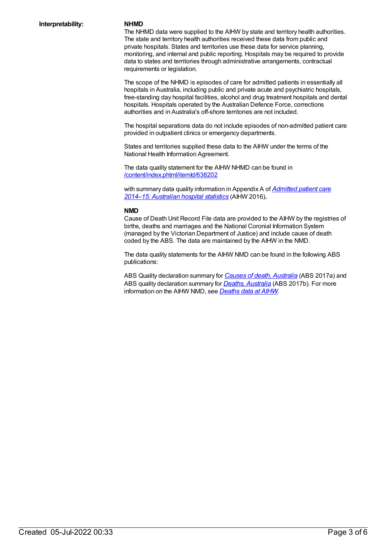The NHMD data were supplied to the AIHW by state and territory health authorities. The state and territory health authorities received these data from public and private hospitals. States and territories use these data for service planning, monitoring, and internal and public reporting. Hospitals may be required to provide data to states and territories through administrative arrangements, contractual requirements or legislation.

The scope of the NHMD is episodes of care for admitted patients in essentially all hospitals in Australia, including public and private acute and psychiatric hospitals, free-standing day hospital facilities, alcohol and drug treatment hospitals and dental hospitals. Hospitals operated by the Australian Defence Force, corrections authorities and in Australia's off-shore territories are not included.

The hospital separations data do not include episodes of non-admitted patient care provided in outpatient clinics or emergency departments.

States and territories supplied these data to the AIHW under the terms of the National Health Information Agreement.

The data quality statement for the AIHW NHMD can be found in [/content/index.phtml/itemId/638202](file:///content/638202)

with summary data quality [information](http://www.aihw.gov.au/publication-detail/?id=60129554702) in Appendix A of *Admitted patient care 2014–15: Australian hospital statistics* (AIHW 2016)**.**

### **NMD**

Cause of Death Unit Record File data are provided to the AIHW by the registries of births, deaths and marriages and the National Coronial Information System (managed by the Victorian Department of Justice) and include cause of death coded by the ABS. The data are maintained by the AIHW in the NMD.

The data quality statements for the AIHW NMD can be found in the following ABS publications:

ABS Quality declaration summary for *Causes of death, [Australia](http://www.abs.gov.au/ausstats/abs@.nsf/mf/3303.0)* (ABS 2017a) and ABS quality declaration summary for *Deaths, [Australia](http://www.abs.gov.au/ausstats/abs@.nsf/mf/3302.0)* (ABS 2017b). For more information on the AIHW NMD, see *[Deaths](http://www.aihw.gov.au/deaths/aihw-deaths-data/) data at AIHW.*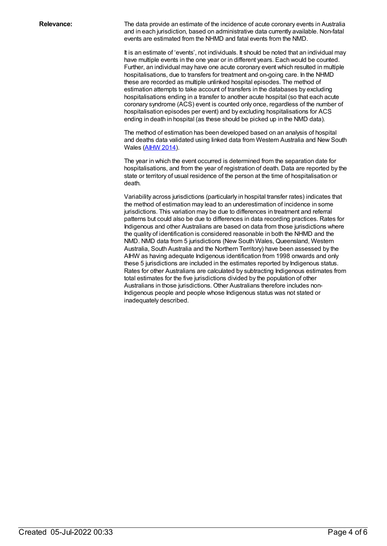**Relevance:** The data provide an estimate of the incidence of acute coronary events in Australia and in each jurisdiction, based on administrative data currently available. Non-fatal events are estimated from the NHMD and fatal events from the NMD.

> It is an estimate of 'events', not individuals. It should be noted that an individual may have multiple events in the one year or in different years. Each would be counted. Further, an individual may have one acute coronary event which resulted in multiple hospitalisations, due to transfers for treatment and on-going care. In the NHMD these are recorded as multiple unlinked hospital episodes. The method of estimation attempts to take account of transfers in the databases by excluding hospitalisations ending in a transfer to another acute hospital (so that each acute coronary syndrome (ACS) event is counted only once, regardless of the number of hospitalisation episodes per event) and by excluding hospitalisations for ACS ending in death in hospital (as these should be picked up in the NMD data).

> The method of estimation has been developed based on an analysis of hospital and deaths data validated using linked data from Western Australia and New South Wales [\(AIHW](http://www.aihw.gov.au/WorkArea/DownloadAsset.aspx?id=60129547560) 2014).

> The year in which the event occurred is determined from the separation date for hospitalisations, and from the year of registration of death. Data are reported by the state or territory of usual residence of the person at the time of hospitalisation or death.

> Variability across jurisdictions (particularly in hospital transfer rates) indicates that the method of estimation may lead to an underestimation of incidence in some jurisdictions. This variation may be due to differences in treatment and referral patterns but could also be due to differences in data recording practices. Rates for Indigenous and other Australians are based on data from those jurisdictions where the quality of identification is considered reasonable in both the NHMD and the NMD. NMD data from 5 jurisdictions (New South Wales, Queensland, Western Australia, South Australia and the Northern Territory) have been assessed by the AIHW as having adequate Indigenous identification from 1998 onwards and only these 5 jurisdictions are included in the estimates reported by Indigenous status. Rates for other Australians are calculated by subtracting Indigenous estimates from total estimates for the five jurisdictions divided by the population of other Australians in those jurisdictions. Other Australians therefore includes non-Indigenous people and people whose Indigenous status was not stated or inadequately described.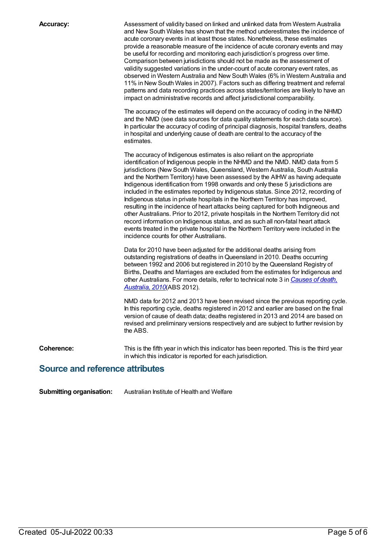**Accuracy:** Assessment of validity based on linked and unlinked data from Western Australia and New South Wales has shown that the method underestimates the incidence of acute coronary events in at least those states. Nonetheless, these estimates provide a reasonable measure of the incidence of acute coronary events and may be useful for recording and monitoring each jurisdiction's progress over time. Comparison between jurisdictions should not be made as the assessment of validity suggested variations in the under-count of acute coronary event rates, as observed in Western Australia and New South Wales (6% in Western Australia and 11% in New South Wales in 2007). Factors such as differing treatment and referral patterns and data recording practices across states/territories are likely to have an impact on administrative records and affect jurisdictional comparability.

> The accuracy of the estimates will depend on the accuracy of coding in the NHMD and the NMD (see data sources for data quality statements for each data source). In particular the accuracy of coding of principal diagnosis, hospital transfers, deaths in hospital and underlying cause of death are central to the accuracy of the estimates.

The accuracy of Indigenous estimates is also reliant on the appropriate identification of Indigenous people in the NHMD and the NMD. NMD data from 5 jurisdictions (New South Wales, Queensland, Western Australia, South Australia and the Northern Territory) have been assessed by the AIHW as having adequate Indigenous identification from 1998 onwards and only these 5 jurisdictions are included in the estimates reported by Indigenous status. Since 2012, recording of Indigenous status in private hospitals in the Northern Territory has improved, resulting in the incidence of heart attacks being captured for both Indigneous and other Australians. Prior to 2012, private hospitals in the Northern Territory did not record information on Indigenous status, and as such all non-fatal heart attack events treated in the private hospital in the Northern Territory were included in the incidence counts for other Australians.

Data for 2010 have been adjusted for the additional deaths arising from outstanding registrations of deaths inQueensland in 2010. Deaths occurring between 1992 and 2006 but registered in 2010 by the Queensland Registry of Births, Deaths and Marriages are excluded from the estimates for Indigenous and other [Australians.](http://www.abs.gov.au/AUSSTATS/abs@.nsf/Lookup/3303.0Main+Features12010?OpenDocument) For more details, refer to technical note 3 in *Causes of death, Australia, 2010*(ABS 2012).

NMD data for 2012 and 2013 have been revised since the previous reporting cycle. In this reporting cycle, deaths registered in 2012 and earlier are based on the final version of cause of death data; deaths registered in 2013 and 2014 are based on revised and preliminary versions respectively and are subject to further revision by the ABS.

**Coherence:** This is the fifth year in which this indicator has been reported. This is the third year in which this indicator is reported for each jurisdiction.

### **Source and reference attributes**

**Submitting organisation:** Australian Institute of Health and Welfare